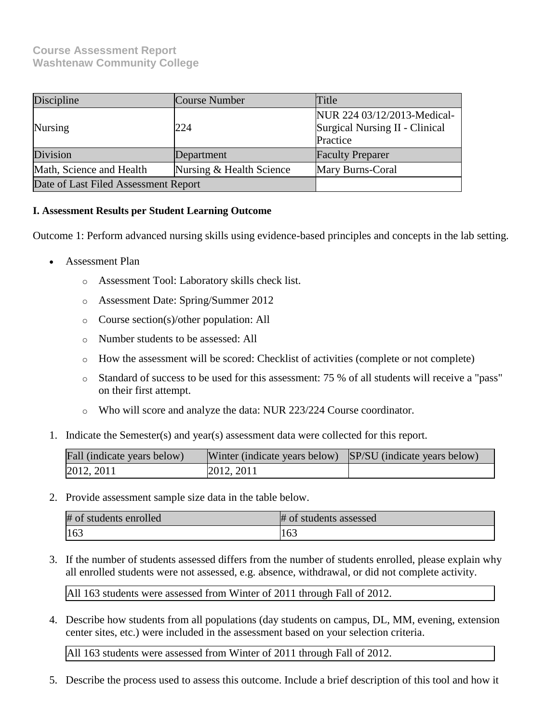# **Course Assessment Report Washtenaw Community College**

| Discipline                                           | Course Number                                                                    | Title                   |  |
|------------------------------------------------------|----------------------------------------------------------------------------------|-------------------------|--|
| Nursing                                              | NUR 224 03/12/2013-Medical-<br>Surgical Nursing II - Clinical<br>224<br>Practice |                         |  |
| Division<br>Department                               |                                                                                  | <b>Faculty Preparer</b> |  |
| Nursing & Health Science<br>Math, Science and Health |                                                                                  | Mary Burns-Coral        |  |
| Date of Last Filed Assessment Report                 |                                                                                  |                         |  |

# **I. Assessment Results per Student Learning Outcome**

Outcome 1: Perform advanced nursing skills using evidence-based principles and concepts in the lab setting.

- Assessment Plan
	- o Assessment Tool: Laboratory skills check list.
	- o Assessment Date: Spring/Summer 2012
	- o Course section(s)/other population: All
	- o Number students to be assessed: All
	- $\circ$  How the assessment will be scored: Checklist of activities (complete or not complete)
	- o Standard of success to be used for this assessment: 75 % of all students will receive a "pass" on their first attempt.
	- o Who will score and analyze the data: NUR 223/224 Course coordinator.
- 1. Indicate the Semester(s) and year(s) assessment data were collected for this report.

| Fall (indicate years below) | Winter (indicate years below) SP/SU (indicate years below) |  |
|-----------------------------|------------------------------------------------------------|--|
| 2012, 2011                  | 2012, 2011                                                 |  |

2. Provide assessment sample size data in the table below.

| # of students enrolled | # of students assessed |
|------------------------|------------------------|
| 163                    | 1 V.                   |

3. If the number of students assessed differs from the number of students enrolled, please explain why all enrolled students were not assessed, e.g. absence, withdrawal, or did not complete activity.

All 163 students were assessed from Winter of 2011 through Fall of 2012.

4. Describe how students from all populations (day students on campus, DL, MM, evening, extension center sites, etc.) were included in the assessment based on your selection criteria.

All 163 students were assessed from Winter of 2011 through Fall of 2012.

5. Describe the process used to assess this outcome. Include a brief description of this tool and how it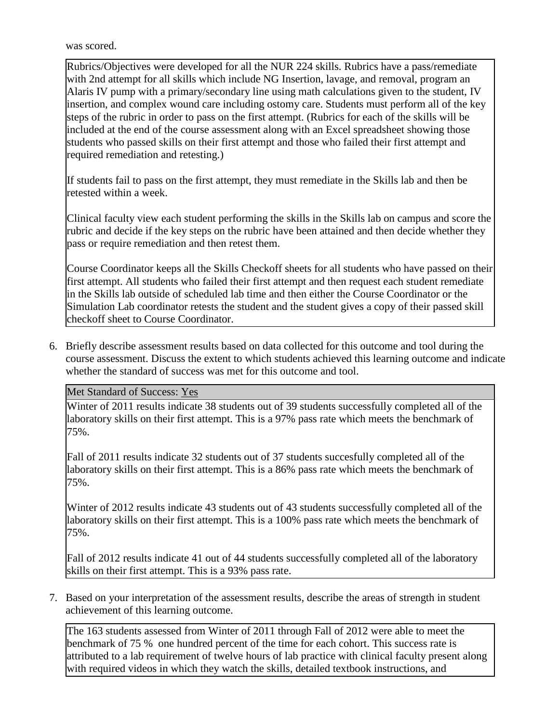was scored.

Rubrics/Objectives were developed for all the NUR 224 skills. Rubrics have a pass/remediate with 2nd attempt for all skills which include NG Insertion, lavage, and removal, program an Alaris IV pump with a primary/secondary line using math calculations given to the student, IV insertion, and complex wound care including ostomy care. Students must perform all of the key steps of the rubric in order to pass on the first attempt. (Rubrics for each of the skills will be included at the end of the course assessment along with an Excel spreadsheet showing those students who passed skills on their first attempt and those who failed their first attempt and required remediation and retesting.)

If students fail to pass on the first attempt, they must remediate in the Skills lab and then be retested within a week.

Clinical faculty view each student performing the skills in the Skills lab on campus and score the rubric and decide if the key steps on the rubric have been attained and then decide whether they pass or require remediation and then retest them.

Course Coordinator keeps all the Skills Checkoff sheets for all students who have passed on their first attempt. All students who failed their first attempt and then request each student remediate in the Skills lab outside of scheduled lab time and then either the Course Coordinator or the Simulation Lab coordinator retests the student and the student gives a copy of their passed skill checkoff sheet to Course Coordinator.

6. Briefly describe assessment results based on data collected for this outcome and tool during the course assessment. Discuss the extent to which students achieved this learning outcome and indicate whether the standard of success was met for this outcome and tool.

Met Standard of Success: Yes

Winter of 2011 results indicate 38 students out of 39 students successfully completed all of the laboratory skills on their first attempt. This is a 97% pass rate which meets the benchmark of 75%.

Fall of 2011 results indicate 32 students out of 37 students succesfully completed all of the laboratory skills on their first attempt. This is a 86% pass rate which meets the benchmark of 75%.

Winter of 2012 results indicate 43 students out of 43 students successfully completed all of the laboratory skills on their first attempt. This is a 100% pass rate which meets the benchmark of 75%.

Fall of 2012 results indicate 41 out of 44 students successfully completed all of the laboratory skills on their first attempt. This is a 93% pass rate.

7. Based on your interpretation of the assessment results, describe the areas of strength in student achievement of this learning outcome.

The 163 students assessed from Winter of 2011 through Fall of 2012 were able to meet the benchmark of 75 % one hundred percent of the time for each cohort. This success rate is attributed to a lab requirement of twelve hours of lab practice with clinical faculty present along with required videos in which they watch the skills, detailed textbook instructions, and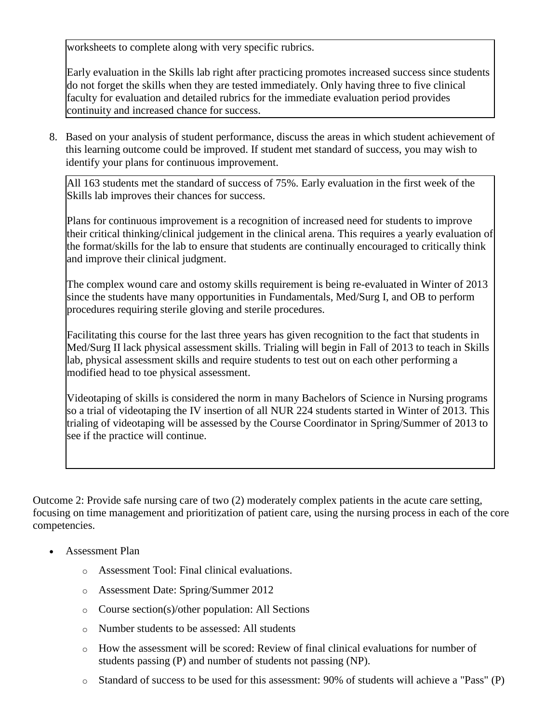worksheets to complete along with very specific rubrics.

Early evaluation in the Skills lab right after practicing promotes increased success since students do not forget the skills when they are tested immediately. Only having three to five clinical faculty for evaluation and detailed rubrics for the immediate evaluation period provides continuity and increased chance for success.

8. Based on your analysis of student performance, discuss the areas in which student achievement of this learning outcome could be improved. If student met standard of success, you may wish to identify your plans for continuous improvement.

All 163 students met the standard of success of 75%. Early evaluation in the first week of the Skills lab improves their chances for success.

Plans for continuous improvement is a recognition of increased need for students to improve their critical thinking/clinical judgement in the clinical arena. This requires a yearly evaluation of the format/skills for the lab to ensure that students are continually encouraged to critically think and improve their clinical judgment.

The complex wound care and ostomy skills requirement is being re-evaluated in Winter of 2013 since the students have many opportunities in Fundamentals, Med/Surg I, and OB to perform procedures requiring sterile gloving and sterile procedures.

Facilitating this course for the last three years has given recognition to the fact that students in Med/Surg II lack physical assessment skills. Trialing will begin in Fall of 2013 to teach in Skills lab, physical assessment skills and require students to test out on each other performing a modified head to toe physical assessment.

Videotaping of skills is considered the norm in many Bachelors of Science in Nursing programs so a trial of videotaping the IV insertion of all NUR 224 students started in Winter of 2013. This trialing of videotaping will be assessed by the Course Coordinator in Spring/Summer of 2013 to see if the practice will continue.

Outcome 2: Provide safe nursing care of two (2) moderately complex patients in the acute care setting, focusing on time management and prioritization of patient care, using the nursing process in each of the core competencies.

- Assessment Plan
	- o Assessment Tool: Final clinical evaluations.
	- o Assessment Date: Spring/Summer 2012
	- o Course section(s)/other population: All Sections
	- o Number students to be assessed: All students
	- o How the assessment will be scored: Review of final clinical evaluations for number of students passing (P) and number of students not passing (NP).
	- o Standard of success to be used for this assessment: 90% of students will achieve a "Pass" (P)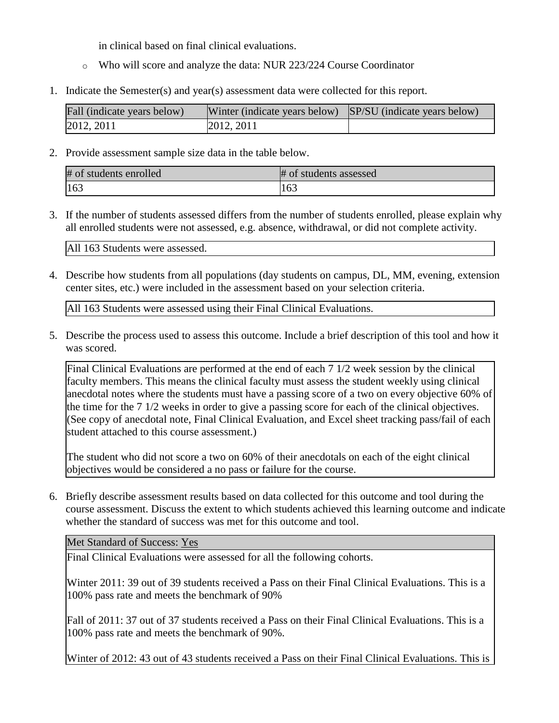in clinical based on final clinical evaluations.

- o Who will score and analyze the data: NUR 223/224 Course Coordinator
- 1. Indicate the Semester(s) and year(s) assessment data were collected for this report.

| Fall (indicate years below) |            | Winter (indicate years below) SP/SU (indicate years below) |  |  |  |
|-----------------------------|------------|------------------------------------------------------------|--|--|--|
|                             | 2012, 2011 | 2012, 2011                                                 |  |  |  |

2. Provide assessment sample size data in the table below.

| # of students enrolled | # of students assessed |
|------------------------|------------------------|
| 163                    | 101                    |

3. If the number of students assessed differs from the number of students enrolled, please explain why all enrolled students were not assessed, e.g. absence, withdrawal, or did not complete activity.

All 163 Students were assessed.

4. Describe how students from all populations (day students on campus, DL, MM, evening, extension center sites, etc.) were included in the assessment based on your selection criteria.

All 163 Students were assessed using their Final Clinical Evaluations.

5. Describe the process used to assess this outcome. Include a brief description of this tool and how it was scored.

Final Clinical Evaluations are performed at the end of each 7 1/2 week session by the clinical faculty members. This means the clinical faculty must assess the student weekly using clinical anecdotal notes where the students must have a passing score of a two on every objective 60% of the time for the 7 1/2 weeks in order to give a passing score for each of the clinical objectives. (See copy of anecdotal note, Final Clinical Evaluation, and Excel sheet tracking pass/fail of each student attached to this course assessment.)

The student who did not score a two on 60% of their anecdotals on each of the eight clinical objectives would be considered a no pass or failure for the course.

6. Briefly describe assessment results based on data collected for this outcome and tool during the course assessment. Discuss the extent to which students achieved this learning outcome and indicate whether the standard of success was met for this outcome and tool.

Met Standard of Success: Yes

Final Clinical Evaluations were assessed for all the following cohorts.

Winter 2011: 39 out of 39 students received a Pass on their Final Clinical Evaluations. This is a 100% pass rate and meets the benchmark of 90%

Fall of 2011: 37 out of 37 students received a Pass on their Final Clinical Evaluations. This is a 100% pass rate and meets the benchmark of 90%.

Winter of 2012: 43 out of 43 students received a Pass on their Final Clinical Evaluations. This is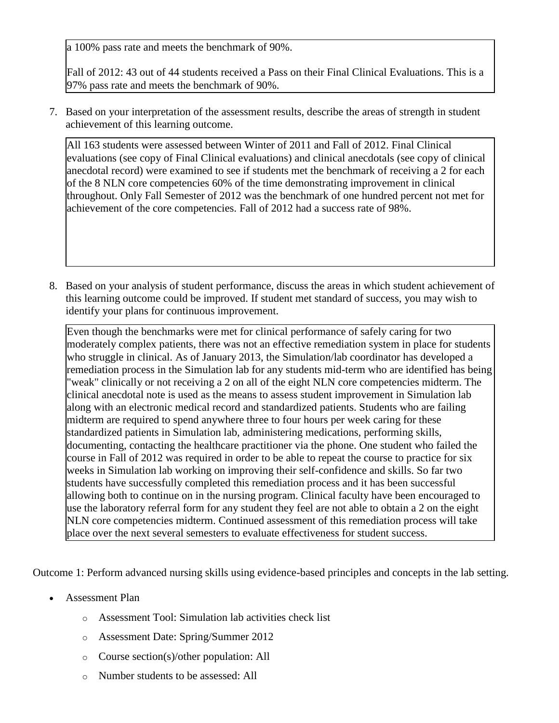a 100% pass rate and meets the benchmark of 90%.

Fall of 2012: 43 out of 44 students received a Pass on their Final Clinical Evaluations. This is a 97% pass rate and meets the benchmark of 90%.

7. Based on your interpretation of the assessment results, describe the areas of strength in student achievement of this learning outcome.

All 163 students were assessed between Winter of 2011 and Fall of 2012. Final Clinical evaluations (see copy of Final Clinical evaluations) and clinical anecdotals (see copy of clinical anecdotal record) were examined to see if students met the benchmark of receiving a 2 for each of the 8 NLN core competencies 60% of the time demonstrating improvement in clinical throughout. Only Fall Semester of 2012 was the benchmark of one hundred percent not met for achievement of the core competencies. Fall of 2012 had a success rate of 98%.

8. Based on your analysis of student performance, discuss the areas in which student achievement of this learning outcome could be improved. If student met standard of success, you may wish to identify your plans for continuous improvement.

Even though the benchmarks were met for clinical performance of safely caring for two moderately complex patients, there was not an effective remediation system in place for students who struggle in clinical. As of January 2013, the Simulation/lab coordinator has developed a remediation process in the Simulation lab for any students mid-term who are identified has being "weak" clinically or not receiving a 2 on all of the eight NLN core competencies midterm. The clinical anecdotal note is used as the means to assess student improvement in Simulation lab along with an electronic medical record and standardized patients. Students who are failing midterm are required to spend anywhere three to four hours per week caring for these standardized patients in Simulation lab, administering medications, performing skills, documenting, contacting the healthcare practitioner via the phone. One student who failed the course in Fall of 2012 was required in order to be able to repeat the course to practice for six weeks in Simulation lab working on improving their self-confidence and skills. So far two students have successfully completed this remediation process and it has been successful allowing both to continue on in the nursing program. Clinical faculty have been encouraged to use the laboratory referral form for any student they feel are not able to obtain a 2 on the eight NLN core competencies midterm. Continued assessment of this remediation process will take place over the next several semesters to evaluate effectiveness for student success.

Outcome 1: Perform advanced nursing skills using evidence-based principles and concepts in the lab setting.

- Assessment Plan
	- o Assessment Tool: Simulation lab activities check list
	- o Assessment Date: Spring/Summer 2012
	- o Course section(s)/other population: All
	- o Number students to be assessed: All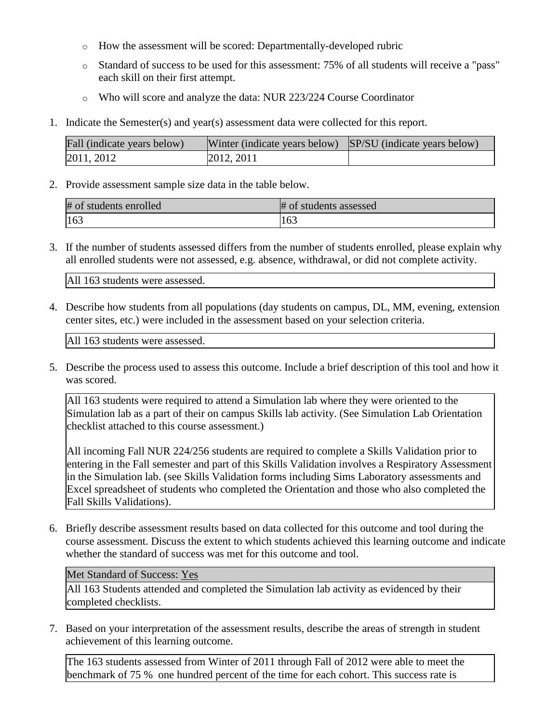- o How the assessment will be scored: Departmentally-developed rubric
- o Standard of success to be used for this assessment: 75% of all students will receive a "pass" each skill on their first attempt.
- o Who will score and analyze the data: NUR 223/224 Course Coordinator
- 1. Indicate the Semester(s) and year(s) assessment data were collected for this report.

| Fall (indicate years below) | Winter (indicate years below) SP/SU (indicate years below) |  |  |
|-----------------------------|------------------------------------------------------------|--|--|
| 2011, 2012                  | 2012, 2011                                                 |  |  |

2. Provide assessment sample size data in the table below.

| # of students enrolled | # of students assessed |
|------------------------|------------------------|
| $ 163\rangle$          | 163                    |

3. If the number of students assessed differs from the number of students enrolled, please explain why all enrolled students were not assessed, e.g. absence, withdrawal, or did not complete activity.

All 163 students were assessed.

4. Describe how students from all populations (day students on campus, DL, MM, evening, extension center sites, etc.) were included in the assessment based on your selection criteria.

All 163 students were assessed.

5. Describe the process used to assess this outcome. Include a brief description of this tool and how it was scored.

All 163 students were required to attend a Simulation lab where they were oriented to the Simulation lab as a part of their on campus Skills lab activity. (See Simulation Lab Orientation checklist attached to this course assessment.)

All incoming Fall NUR 224/256 students are required to complete a Skills Validation prior to entering in the Fall semester and part of this Skills Validation involves a Respiratory Assessment in the Simulation lab. (see Skills Validation forms including Sims Laboratory assessments and Excel spreadsheet of students who completed the Orientation and those who also completed the Fall Skills Validations).

6. Briefly describe assessment results based on data collected for this outcome and tool during the course assessment. Discuss the extent to which students achieved this learning outcome and indicate whether the standard of success was met for this outcome and tool.

Met Standard of Success: Yes

All 163 Students attended and completed the Simulation lab activity as evidenced by their completed checklists.

7. Based on your interpretation of the assessment results, describe the areas of strength in student achievement of this learning outcome.

The 163 students assessed from Winter of 2011 through Fall of 2012 were able to meet the benchmark of 75 % one hundred percent of the time for each cohort. This success rate is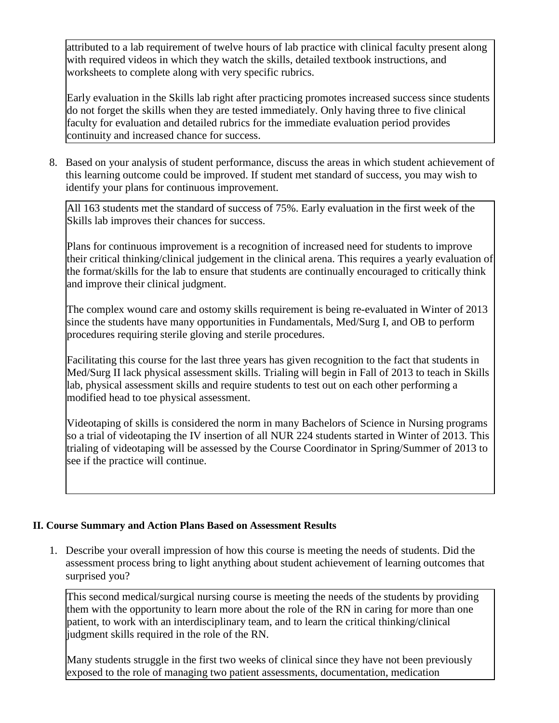attributed to a lab requirement of twelve hours of lab practice with clinical faculty present along with required videos in which they watch the skills, detailed textbook instructions, and worksheets to complete along with very specific rubrics.

Early evaluation in the Skills lab right after practicing promotes increased success since students do not forget the skills when they are tested immediately. Only having three to five clinical faculty for evaluation and detailed rubrics for the immediate evaluation period provides continuity and increased chance for success.

8. Based on your analysis of student performance, discuss the areas in which student achievement of this learning outcome could be improved. If student met standard of success, you may wish to identify your plans for continuous improvement.

All 163 students met the standard of success of 75%. Early evaluation in the first week of the Skills lab improves their chances for success.

Plans for continuous improvement is a recognition of increased need for students to improve their critical thinking/clinical judgement in the clinical arena. This requires a yearly evaluation of the format/skills for the lab to ensure that students are continually encouraged to critically think and improve their clinical judgment.

The complex wound care and ostomy skills requirement is being re-evaluated in Winter of 2013 since the students have many opportunities in Fundamentals, Med/Surg I, and OB to perform procedures requiring sterile gloving and sterile procedures.

Facilitating this course for the last three years has given recognition to the fact that students in Med/Surg II lack physical assessment skills. Trialing will begin in Fall of 2013 to teach in Skills lab, physical assessment skills and require students to test out on each other performing a modified head to toe physical assessment.

Videotaping of skills is considered the norm in many Bachelors of Science in Nursing programs so a trial of videotaping the IV insertion of all NUR 224 students started in Winter of 2013. This trialing of videotaping will be assessed by the Course Coordinator in Spring/Summer of 2013 to see if the practice will continue.

# **II. Course Summary and Action Plans Based on Assessment Results**

1. Describe your overall impression of how this course is meeting the needs of students. Did the assessment process bring to light anything about student achievement of learning outcomes that surprised you?

This second medical/surgical nursing course is meeting the needs of the students by providing them with the opportunity to learn more about the role of the RN in caring for more than one patient, to work with an interdisciplinary team, and to learn the critical thinking/clinical judgment skills required in the role of the RN.

Many students struggle in the first two weeks of clinical since they have not been previously exposed to the role of managing two patient assessments, documentation, medication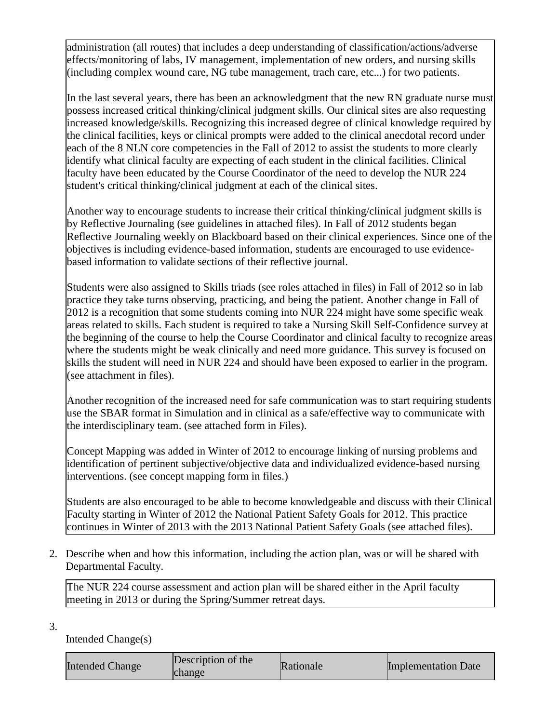administration (all routes) that includes a deep understanding of classification/actions/adverse effects/monitoring of labs, IV management, implementation of new orders, and nursing skills (including complex wound care, NG tube management, trach care, etc...) for two patients.

In the last several years, there has been an acknowledgment that the new RN graduate nurse must possess increased critical thinking/clinical judgment skills. Our clinical sites are also requesting increased knowledge/skills. Recognizing this increased degree of clinical knowledge required by the clinical facilities, keys or clinical prompts were added to the clinical anecdotal record under each of the 8 NLN core competencies in the Fall of 2012 to assist the students to more clearly identify what clinical faculty are expecting of each student in the clinical facilities. Clinical faculty have been educated by the Course Coordinator of the need to develop the NUR 224 student's critical thinking/clinical judgment at each of the clinical sites.

Another way to encourage students to increase their critical thinking/clinical judgment skills is by Reflective Journaling (see guidelines in attached files). In Fall of 2012 students began Reflective Journaling weekly on Blackboard based on their clinical experiences. Since one of the objectives is including evidence-based information, students are encouraged to use evidencebased information to validate sections of their reflective journal.

Students were also assigned to Skills triads (see roles attached in files) in Fall of 2012 so in lab practice they take turns observing, practicing, and being the patient. Another change in Fall of 2012 is a recognition that some students coming into NUR 224 might have some specific weak areas related to skills. Each student is required to take a Nursing Skill Self-Confidence survey at the beginning of the course to help the Course Coordinator and clinical faculty to recognize areas where the students might be weak clinically and need more guidance. This survey is focused on skills the student will need in NUR 224 and should have been exposed to earlier in the program. (see attachment in files).

Another recognition of the increased need for safe communication was to start requiring students use the SBAR format in Simulation and in clinical as a safe/effective way to communicate with the interdisciplinary team. (see attached form in Files).

Concept Mapping was added in Winter of 2012 to encourage linking of nursing problems and identification of pertinent subjective/objective data and individualized evidence-based nursing interventions. (see concept mapping form in files.)

Students are also encouraged to be able to become knowledgeable and discuss with their Clinical Faculty starting in Winter of 2012 the National Patient Safety Goals for 2012. This practice continues in Winter of 2013 with the 2013 National Patient Safety Goals (see attached files).

2. Describe when and how this information, including the action plan, was or will be shared with Departmental Faculty.

The NUR 224 course assessment and action plan will be shared either in the April faculty meeting in 2013 or during the Spring/Summer retreat days.

3.

Intended Change(s)

| <b>Intended Change</b> | Description of the<br>change | Rationale | <b>Implementation Date</b> |
|------------------------|------------------------------|-----------|----------------------------|
|------------------------|------------------------------|-----------|----------------------------|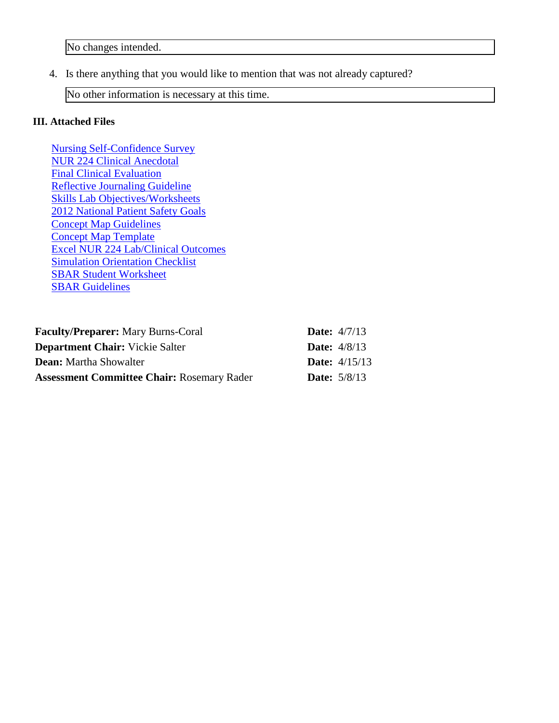4. Is there anything that you would like to mention that was not already captured?

No other information is necessary at this time.

## **III. Attached Files**

[Nursing Self-Confidence Survey](documents/Survey_ExportFile_W_NUR-223-A1-MB-F12_Nursing%20Skill%20Self-Confidence%20Survey(1).zip) [NUR 224 Clinical Anecdotal](documents/NUR%20224-Anecdotals-F12.doc) [Final Clinical Evaluation](documents/FINAL%20Clinical%20Evaluation%20form%20F12.docx) [Reflective Journaling Guideline](documents/Guidelines%20for%20Reflective%20Journaling.docx) [Skills Lab Objectives/Worksheets](documents/WCC%20Nursing%20Skills%20Checkout%20Sheets-F12.doc) [2012 National Patient Safety Goals](documents/2012_National%20Patient%20Safety%20Goals.pdf) [Concept Map Guidelines](documents/Guide%20for%20Concept%20Mapping%20in%20NUR%20224(2).docx) [Concept Map Template](documents/Template%20for%20Concept%20Map-Front%20Back(2)(3).docx) [Excel NUR 224 Lab/Clinical Outcomes](documents/NUR%20224%20201101-201209-Lab-Clinical%20Outcomes1.xlsx) [Simulation Orientation Checklist](documents/Orientation%20Checklist-SIM%20Lab.docx) [SBAR Student Worksheet](documents/SBAR%20Worksheet.pdf) [SBAR Guidelines](documents/SBAR%20Guidelines%20for%20Communication%20with%20Healthcare%20Providers.pdf)

| <b>Faculty/Preparer:</b> Mary Burns-Coral         | <b>Date:</b> $4/7/13$  |
|---------------------------------------------------|------------------------|
| <b>Department Chair:</b> Vickie Salter            | <b>Date:</b> $4/8/13$  |
| <b>Dean:</b> Martha Showalter                     | <b>Date:</b> $4/15/13$ |
| <b>Assessment Committee Chair: Rosemary Rader</b> | <b>Date:</b> $5/8/13$  |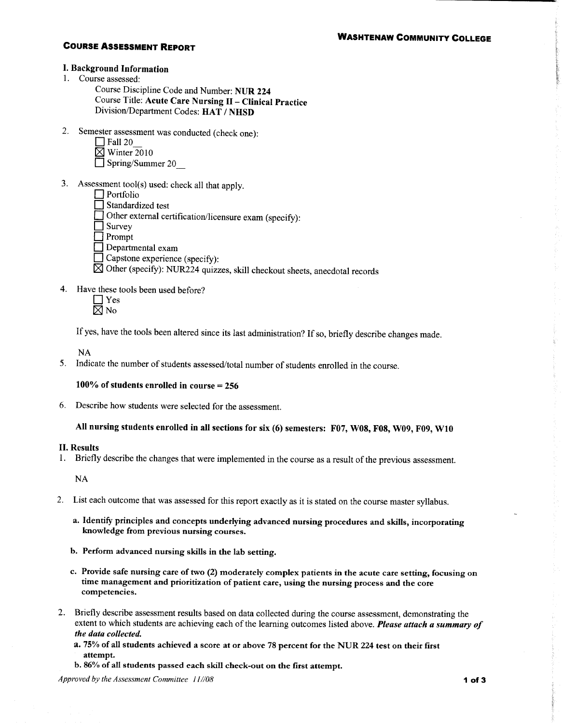### **WASHTENAW COMMUNITY COLLEGE**

#### **COURSE ASSESSMENT REPORT**

#### I. Background Information

- 1. Course assessed:
	- Course Discipline Code and Number: NUR 224 Course Title: Acute Care Nursing II - Clinical Practice Division/Department Codes: HAT / NHSD
- 2. Semester assessment was conducted (check one):
	- $\Box$  Fall 20
	- $\boxtimes$  Winter 2010
	- $\Box$  Spring/Summer 20
- 3. Assessment tool(s) used: check all that apply.
	- $\Box$  Portfolio Standardized test Other external certification/licensure exam (specify):  $\prod$  Survey  $\Box$  Prompt  $\Box$  Departmental exam Capstone experience (specify):
	- $\overline{\boxtimes}$  Other (specify): NUR224 quizzes, skill checkout sheets, anecdotal records
- 4. Have these tools been used before?
	- $\Box$  Yes  $\boxtimes$  No

If yes, have the tools been altered since its last administration? If so, briefly describe changes made.

**NA** 

5. Indicate the number of students assessed/total number of students enrolled in the course.

#### 100% of students enrolled in course  $= 256$

6. Describe how students were selected for the assessment.

## All nursing students enrolled in all sections for six (6) semesters: F07, W08, F08, W09, F09, W10

#### **II. Results**

1. Briefly describe the changes that were implemented in the course as a result of the previous assessment.

**NA** 

- 2. List each outcome that was assessed for this report exactly as it is stated on the course master syllabus.
	- a. Identify principles and concepts underlying advanced nursing procedures and skills, incorporating knowledge from previous nursing courses.
	- b. Perform advanced nursing skills in the lab setting.
	- c. Provide safe nursing care of two (2) moderately complex patients in the acute care setting, focusing on time management and prioritization of patient care, using the nursing process and the core competencies.
- 2. Briefly describe assessment results based on data collected during the course assessment, demonstrating the extent to which students are achieving each of the learning outcomes listed above. Please attach a summary of the data collected.
	- a. 75% of all students achieved a score at or above 78 percent for the NUR 224 test on their first attempt.
	- b. 86% of all students passed each skill check-out on the first attempt.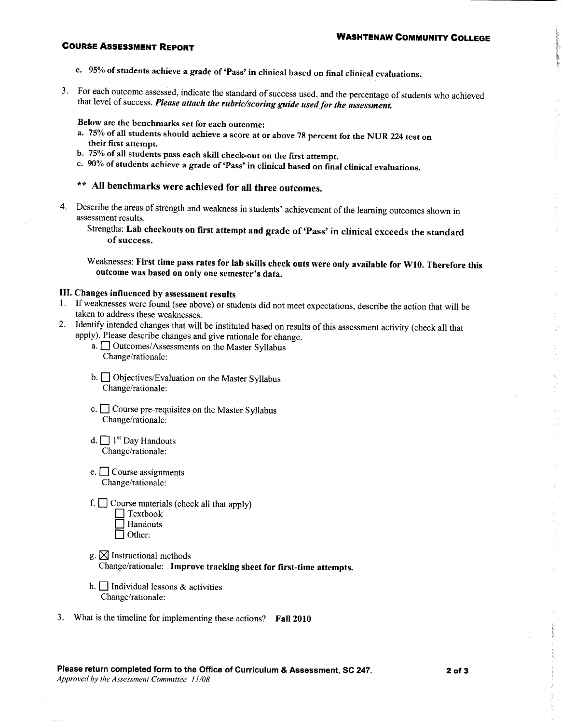## **COURSE ASSESSMENT REPORT**

- c. 95% of students achieve a grade of 'Pass' in clinical based on final clinical evaluations.
- 3. For each outcome assessed, indicate the standard of success used, and the percentage of students who achieved that level of success. Please attach the rubric/scoring guide used for the assessment.

Below are the benchmarks set for each outcome:

- a. 75% of all students should achieve a score at or above 78 percent for the NUR 224 test on their first attempt.
- b. 75% of all students pass each skill check-out on the first attempt.
- c. 90% of students achieve a grade of 'Pass' in clinical based on final clinical evaluations.
- \*\* All benchmarks were achieved for all three outcomes.
- 4. Describe the areas of strength and weakness in students' achievement of the learning outcomes shown in assessment results.

Strengths: Lab checkouts on first attempt and grade of 'Pass' in clinical exceeds the standard of success.

Weaknesses: First time pass rates for lab skills check outs were only available for W10. Therefore this outcome was based on only one semester's data.

#### III. Changes influenced by assessment results

- 1. If weaknesses were found (see above) or students did not meet expectations, describe the action that will be taken to address these weaknesses.
- 2. Identify intended changes that will be instituted based on results of this assessment activity (check all that apply). Please describe changes and give rationale for change.
	- a. <u>Dutcomes/Assessments</u> on the Master Syllabus Change/rationale:
	- $b.$  Objectives/Evaluation on the Master Syllabus Change/rationale:
	- c.  $\Box$  Course pre-requisites on the Master Syllabus Change/rationale:
	- d.  $\Box$  1<sup>st</sup> Day Handouts Change/rationale:
	- e.  $\Box$  Course assignments Change/rationale:
	- f.  $\Box$  Course materials (check all that apply)



- g.  $\boxtimes$  Instructional methods Change/rationale: Improve tracking sheet for first-time attempts.
- h.  $\Box$  Individual lessons & activities Change/rationale:
- 3. What is the timeline for implementing these actions? Fall 2010